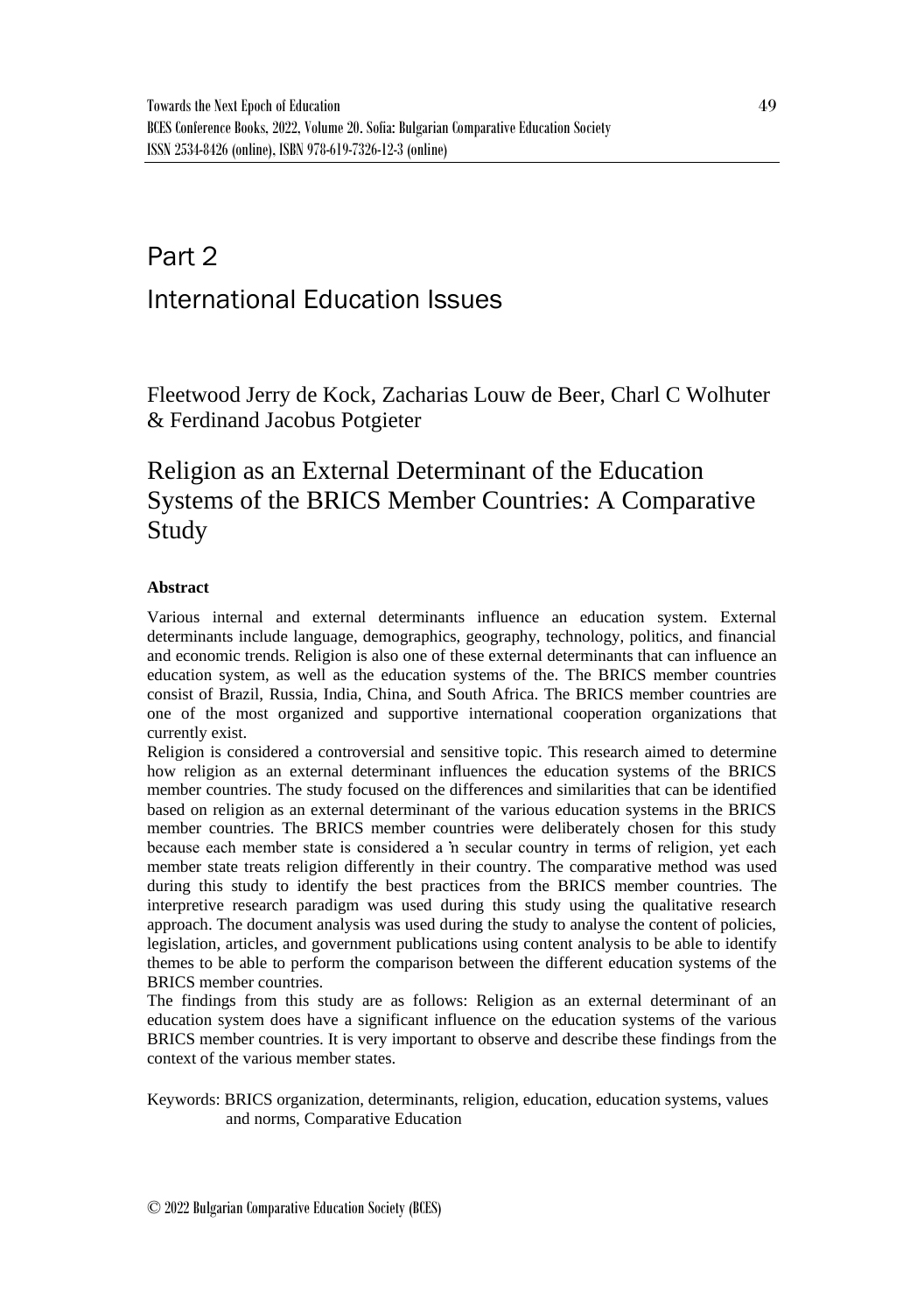# Part 2 International Education Issues

Fleetwood Jerry de Kock, Zacharias Louw de Beer, Charl C Wolhuter & Ferdinand Jacobus Potgieter

# Religion as an External Determinant of the Education Systems of the BRICS Member Countries: A Comparative Study

#### **Abstract**

Various internal and external determinants influence an education system. External determinants include language, demographics, geography, technology, politics, and financial and economic trends. Religion is also one of these external determinants that can influence an education system, as well as the education systems of the. The BRICS member countries consist of Brazil, Russia, India, China, and South Africa. The BRICS member countries are one of the most organized and supportive international cooperation organizations that currently exist.

Religion is considered a controversial and sensitive topic. This research aimed to determine how religion as an external determinant influences the education systems of the BRICS member countries. The study focused on the differences and similarities that can be identified based on religion as an external determinant of the various education systems in the BRICS member countries. The BRICS member countries were deliberately chosen for this study because each member state is considered a 'n secular country in terms of religion, yet each member state treats religion differently in their country. The comparative method was used during this study to identify the best practices from the BRICS member countries. The interpretive research paradigm was used during this study using the qualitative research approach. The document analysis was used during the study to analyse the content of policies, legislation, articles, and government publications using content analysis to be able to identify themes to be able to perform the comparison between the different education systems of the BRICS member countries.

The findings from this study are as follows: Religion as an external determinant of an education system does have a significant influence on the education systems of the various BRICS member countries. It is very important to observe and describe these findings from the context of the various member states.

Keywords: BRICS organization, determinants, religion, education, education systems, values and norms, Comparative Education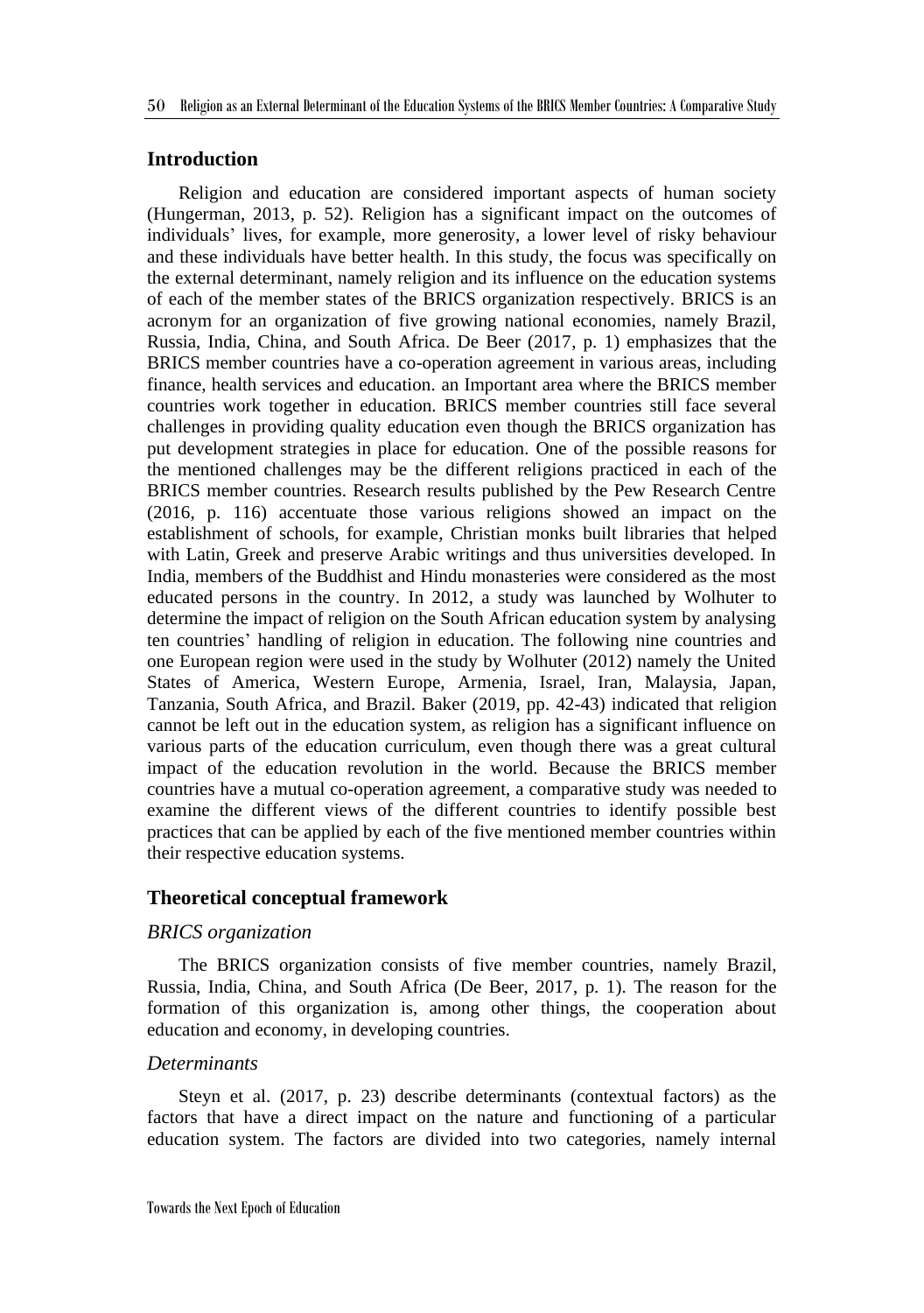### **Introduction**

Religion and education are considered important aspects of human society (Hungerman, 2013, p. 52). Religion has a significant impact on the outcomes of individuals' lives, for example, more generosity, a lower level of risky behaviour and these individuals have better health. In this study, the focus was specifically on the external determinant, namely religion and its influence on the education systems of each of the member states of the BRICS organization respectively. BRICS is an acronym for an organization of five growing national economies, namely Brazil, Russia, India, China, and South Africa. De Beer (2017, p. 1) emphasizes that the BRICS member countries have a co-operation agreement in various areas, including finance, health services and education. an Important area where the BRICS member countries work together in education. BRICS member countries still face several challenges in providing quality education even though the BRICS organization has put development strategies in place for education. One of the possible reasons for the mentioned challenges may be the different religions practiced in each of the BRICS member countries. Research results published by the Pew Research Centre (2016, p. 116) accentuate those various religions showed an impact on the establishment of schools, for example, Christian monks built libraries that helped with Latin, Greek and preserve Arabic writings and thus universities developed. In India, members of the Buddhist and Hindu monasteries were considered as the most educated persons in the country. In 2012, a study was launched by Wolhuter to determine the impact of religion on the South African education system by analysing ten countries' handling of religion in education. The following nine countries and one European region were used in the study by Wolhuter (2012) namely the United States of America, Western Europe, Armenia, Israel, Iran, Malaysia, Japan, Tanzania, South Africa, and Brazil. Baker (2019, pp. 42-43) indicated that religion cannot be left out in the education system, as religion has a significant influence on various parts of the education curriculum, even though there was a great cultural impact of the education revolution in the world. Because the BRICS member countries have a mutual co-operation agreement, a comparative study was needed to examine the different views of the different countries to identify possible best practices that can be applied by each of the five mentioned member countries within their respective education systems.

#### **Theoretical conceptual framework**

#### *BRICS organization*

The BRICS organization consists of five member countries, namely Brazil, Russia, India, China, and South Africa (De Beer, 2017, p. 1). The reason for the formation of this organization is, among other things, the cooperation about education and economy, in developing countries.

#### *Determinants*

Steyn et al. (2017, p. 23) describe determinants (contextual factors) as the factors that have a direct impact on the nature and functioning of a particular education system. The factors are divided into two categories, namely internal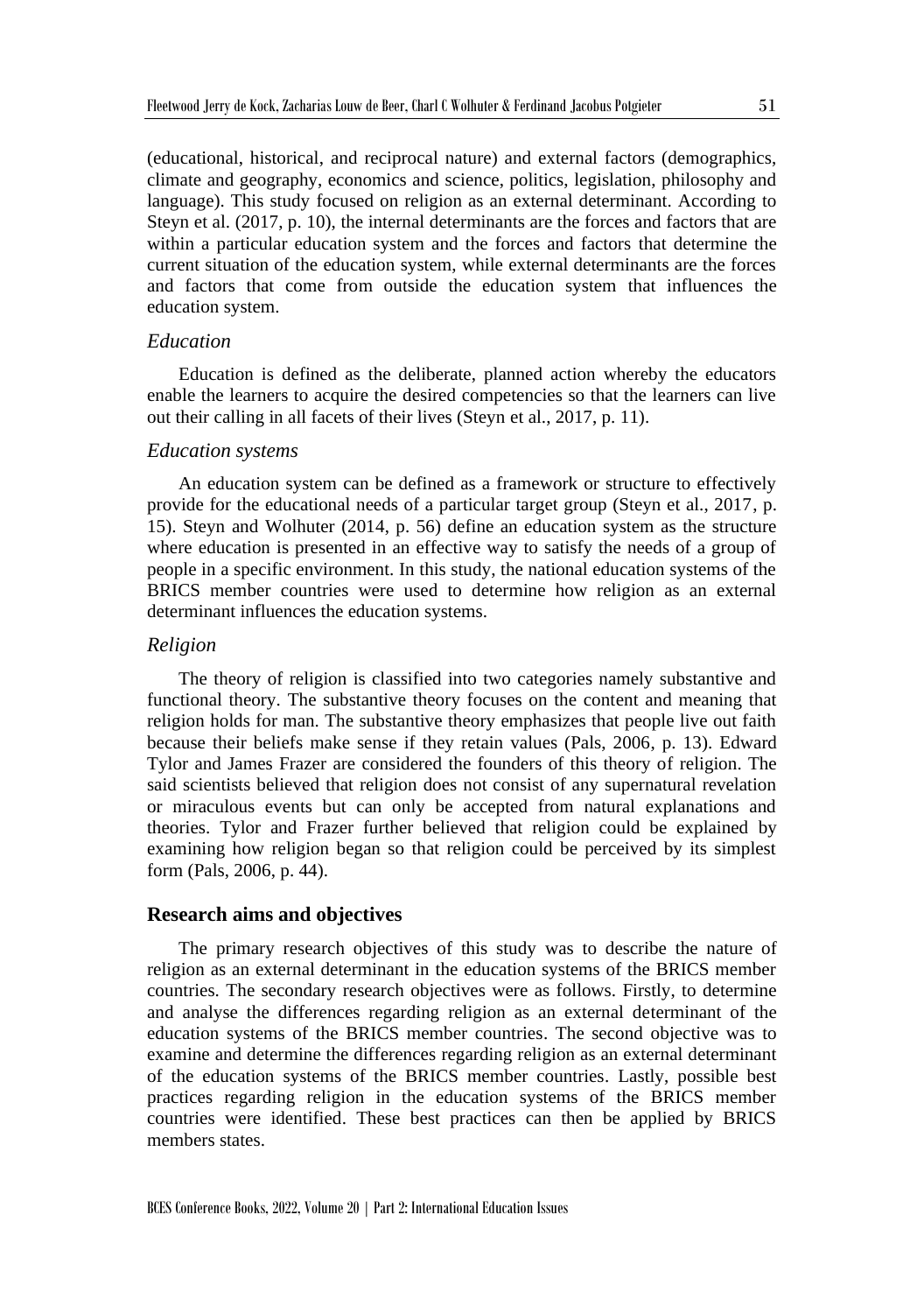(educational, historical, and reciprocal nature) and external factors (demographics, climate and geography, economics and science, politics, legislation, philosophy and language). This study focused on religion as an external determinant. According to Steyn et al. (2017, p. 10), the internal determinants are the forces and factors that are within a particular education system and the forces and factors that determine the current situation of the education system, while external determinants are the forces and factors that come from outside the education system that influences the education system.

#### *Education*

Education is defined as the deliberate, planned action whereby the educators enable the learners to acquire the desired competencies so that the learners can live out their calling in all facets of their lives (Steyn et al., 2017, p. 11).

#### *Education systems*

An education system can be defined as a framework or structure to effectively provide for the educational needs of a particular target group (Steyn et al., 2017, p. 15). Steyn and Wolhuter (2014, p. 56) define an education system as the structure where education is presented in an effective way to satisfy the needs of a group of people in a specific environment. In this study, the national education systems of the BRICS member countries were used to determine how religion as an external determinant influences the education systems.

#### *Religion*

The theory of religion is classified into two categories namely substantive and functional theory. The substantive theory focuses on the content and meaning that religion holds for man. The substantive theory emphasizes that people live out faith because their beliefs make sense if they retain values (Pals, 2006, p. 13). Edward Tylor and James Frazer are considered the founders of this theory of religion. The said scientists believed that religion does not consist of any supernatural revelation or miraculous events but can only be accepted from natural explanations and theories. Tylor and Frazer further believed that religion could be explained by examining how religion began so that religion could be perceived by its simplest form (Pals, 2006, p. 44).

#### **Research aims and objectives**

The primary research objectives of this study was to describe the nature of religion as an external determinant in the education systems of the BRICS member countries. The secondary research objectives were as follows. Firstly, to determine and analyse the differences regarding religion as an external determinant of the education systems of the BRICS member countries. The second objective was to examine and determine the differences regarding religion as an external determinant of the education systems of the BRICS member countries. Lastly, possible best practices regarding religion in the education systems of the BRICS member countries were identified. These best practices can then be applied by BRICS members states.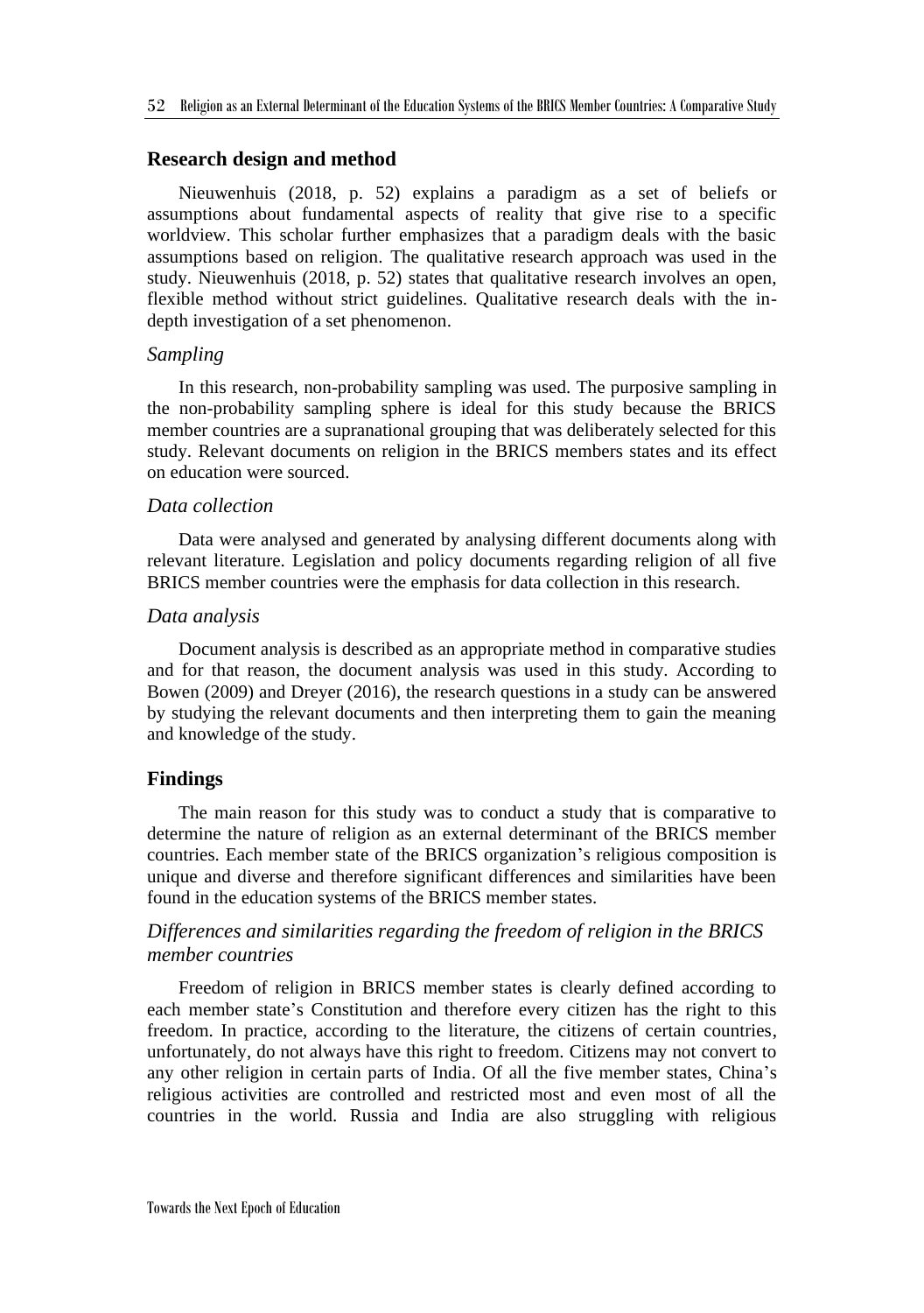#### **Research design and method**

Nieuwenhuis (2018, p. 52) explains a paradigm as a set of beliefs or assumptions about fundamental aspects of reality that give rise to a specific worldview. This scholar further emphasizes that a paradigm deals with the basic assumptions based on religion. The qualitative research approach was used in the study. Nieuwenhuis (2018, p. 52) states that qualitative research involves an open, flexible method without strict guidelines. Qualitative research deals with the indepth investigation of a set phenomenon.

#### *Sampling*

In this research, non-probability sampling was used. The purposive sampling in the non-probability sampling sphere is ideal for this study because the BRICS member countries are a supranational grouping that was deliberately selected for this study. Relevant documents on religion in the BRICS members states and its effect on education were sourced.

#### *Data collection*

Data were analysed and generated by analysing different documents along with relevant literature. Legislation and policy documents regarding religion of all five BRICS member countries were the emphasis for data collection in this research.

#### *Data analysis*

Document analysis is described as an appropriate method in comparative studies and for that reason, the document analysis was used in this study. According to Bowen (2009) and Dreyer (2016), the research questions in a study can be answered by studying the relevant documents and then interpreting them to gain the meaning and knowledge of the study.

#### **Findings**

The main reason for this study was to conduct a study that is comparative to determine the nature of religion as an external determinant of the BRICS member countries. Each member state of the BRICS organization's religious composition is unique and diverse and therefore significant differences and similarities have been found in the education systems of the BRICS member states.

# *Differences and similarities regarding the freedom of religion in the BRICS member countries*

Freedom of religion in BRICS member states is clearly defined according to each member state's Constitution and therefore every citizen has the right to this freedom. In practice, according to the literature, the citizens of certain countries, unfortunately, do not always have this right to freedom. Citizens may not convert to any other religion in certain parts of India. Of all the five member states, China's religious activities are controlled and restricted most and even most of all the countries in the world. Russia and India are also struggling with religious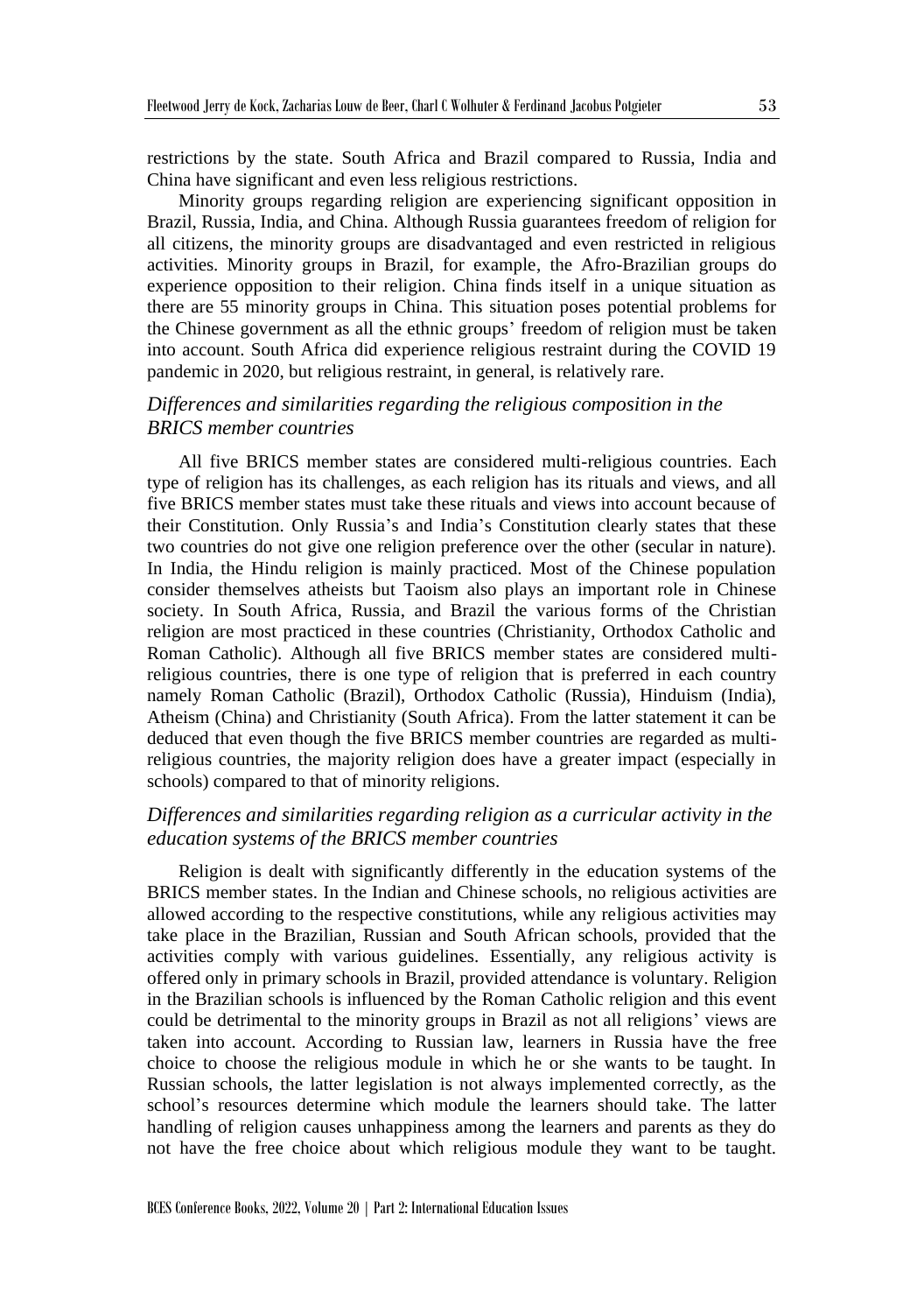restrictions by the state. South Africa and Brazil compared to Russia, India and China have significant and even less religious restrictions.

Minority groups regarding religion are experiencing significant opposition in Brazil, Russia, India, and China. Although Russia guarantees freedom of religion for all citizens, the minority groups are disadvantaged and even restricted in religious activities. Minority groups in Brazil, for example, the Afro-Brazilian groups do experience opposition to their religion. China finds itself in a unique situation as there are 55 minority groups in China. This situation poses potential problems for the Chinese government as all the ethnic groups' freedom of religion must be taken into account. South Africa did experience religious restraint during the COVID 19 pandemic in 2020, but religious restraint, in general, is relatively rare.

# *Differences and similarities regarding the religious composition in the BRICS member countries*

All five BRICS member states are considered multi-religious countries. Each type of religion has its challenges, as each religion has its rituals and views, and all five BRICS member states must take these rituals and views into account because of their Constitution. Only Russia's and India's Constitution clearly states that these two countries do not give one religion preference over the other (secular in nature). In India, the Hindu religion is mainly practiced. Most of the Chinese population consider themselves atheists but Taoism also plays an important role in Chinese society. In South Africa, Russia, and Brazil the various forms of the Christian religion are most practiced in these countries (Christianity, Orthodox Catholic and Roman Catholic). Although all five BRICS member states are considered multireligious countries, there is one type of religion that is preferred in each country namely Roman Catholic (Brazil), Orthodox Catholic (Russia), Hinduism (India), Atheism (China) and Christianity (South Africa). From the latter statement it can be deduced that even though the five BRICS member countries are regarded as multireligious countries, the majority religion does have a greater impact (especially in schools) compared to that of minority religions.

# *Differences and similarities regarding religion as a curricular activity in the education systems of the BRICS member countries*

Religion is dealt with significantly differently in the education systems of the BRICS member states. In the Indian and Chinese schools, no religious activities are allowed according to the respective constitutions, while any religious activities may take place in the Brazilian, Russian and South African schools, provided that the activities comply with various guidelines. Essentially, any religious activity is offered only in primary schools in Brazil, provided attendance is voluntary. Religion in the Brazilian schools is influenced by the Roman Catholic religion and this event could be detrimental to the minority groups in Brazil as not all religions' views are taken into account. According to Russian law, learners in Russia have the free choice to choose the religious module in which he or she wants to be taught. In Russian schools, the latter legislation is not always implemented correctly, as the school's resources determine which module the learners should take. The latter handling of religion causes unhappiness among the learners and parents as they do not have the free choice about which religious module they want to be taught.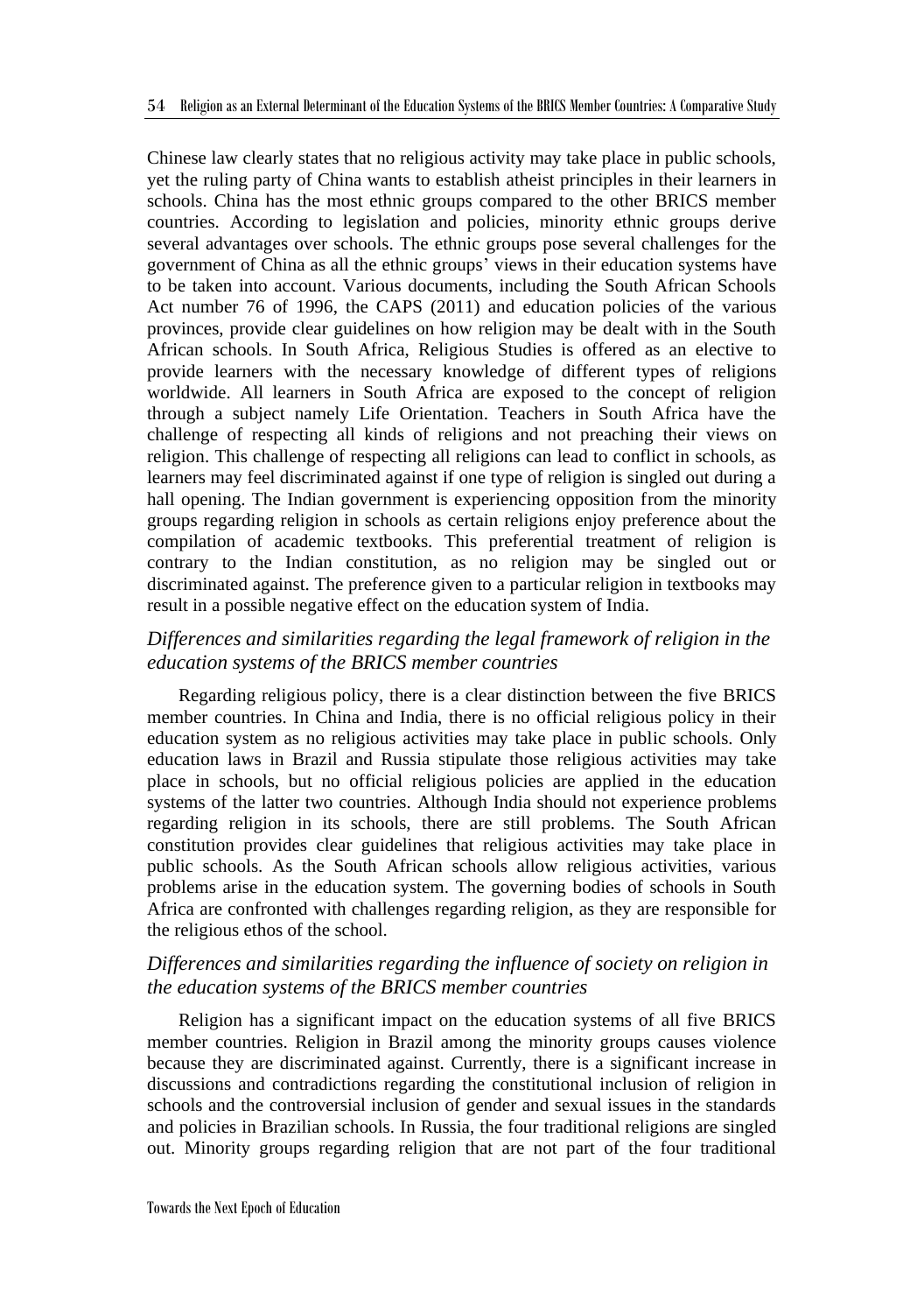Chinese law clearly states that no religious activity may take place in public schools, yet the ruling party of China wants to establish atheist principles in their learners in schools. China has the most ethnic groups compared to the other BRICS member countries. According to legislation and policies, minority ethnic groups derive several advantages over schools. The ethnic groups pose several challenges for the government of China as all the ethnic groups' views in their education systems have to be taken into account. Various documents, including the South African Schools Act number 76 of 1996, the CAPS (2011) and education policies of the various provinces, provide clear guidelines on how religion may be dealt with in the South African schools. In South Africa, Religious Studies is offered as an elective to provide learners with the necessary knowledge of different types of religions worldwide. All learners in South Africa are exposed to the concept of religion through a subject namely Life Orientation. Teachers in South Africa have the challenge of respecting all kinds of religions and not preaching their views on religion. This challenge of respecting all religions can lead to conflict in schools, as learners may feel discriminated against if one type of religion is singled out during a hall opening. The Indian government is experiencing opposition from the minority groups regarding religion in schools as certain religions enjoy preference about the compilation of academic textbooks. This preferential treatment of religion is contrary to the Indian constitution, as no religion may be singled out or discriminated against. The preference given to a particular religion in textbooks may result in a possible negative effect on the education system of India.

# *Differences and similarities regarding the legal framework of religion in the education systems of the BRICS member countries*

Regarding religious policy, there is a clear distinction between the five BRICS member countries. In China and India, there is no official religious policy in their education system as no religious activities may take place in public schools. Only education laws in Brazil and Russia stipulate those religious activities may take place in schools, but no official religious policies are applied in the education systems of the latter two countries. Although India should not experience problems regarding religion in its schools, there are still problems. The South African constitution provides clear guidelines that religious activities may take place in public schools. As the South African schools allow religious activities, various problems arise in the education system. The governing bodies of schools in South Africa are confronted with challenges regarding religion, as they are responsible for the religious ethos of the school.

# *Differences and similarities regarding the influence of society on religion in the education systems of the BRICS member countries*

Religion has a significant impact on the education systems of all five BRICS member countries. Religion in Brazil among the minority groups causes violence because they are discriminated against. Currently, there is a significant increase in discussions and contradictions regarding the constitutional inclusion of religion in schools and the controversial inclusion of gender and sexual issues in the standards and policies in Brazilian schools. In Russia, the four traditional religions are singled out. Minority groups regarding religion that are not part of the four traditional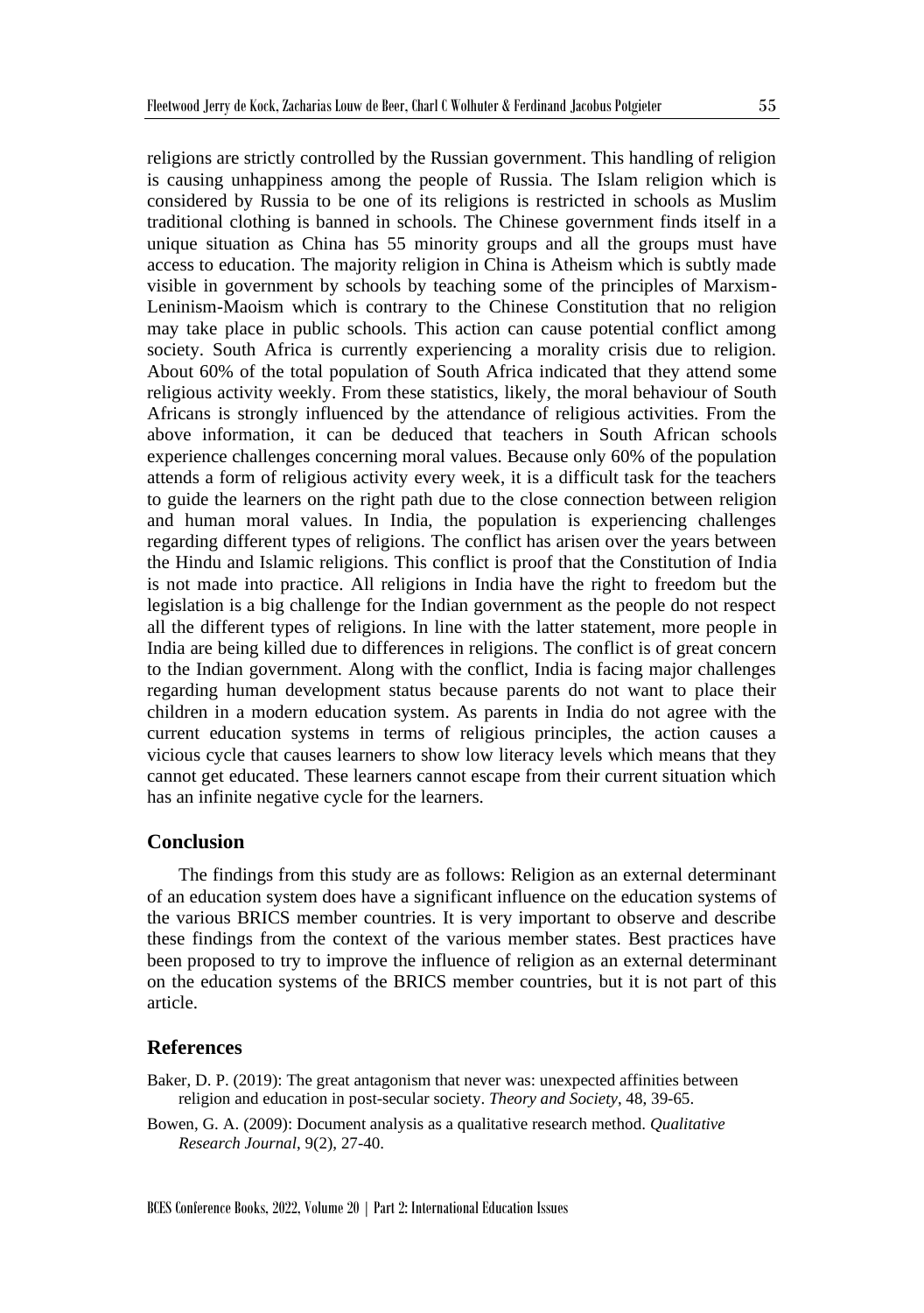religions are strictly controlled by the Russian government. This handling of religion is causing unhappiness among the people of Russia. The Islam religion which is considered by Russia to be one of its religions is restricted in schools as Muslim traditional clothing is banned in schools. The Chinese government finds itself in a unique situation as China has 55 minority groups and all the groups must have access to education. The majority religion in China is Atheism which is subtly made visible in government by schools by teaching some of the principles of Marxism-Leninism-Maoism which is contrary to the Chinese Constitution that no religion may take place in public schools. This action can cause potential conflict among society. South Africa is currently experiencing a morality crisis due to religion. About 60% of the total population of South Africa indicated that they attend some religious activity weekly. From these statistics, likely, the moral behaviour of South Africans is strongly influenced by the attendance of religious activities. From the above information, it can be deduced that teachers in South African schools experience challenges concerning moral values. Because only 60% of the population attends a form of religious activity every week, it is a difficult task for the teachers to guide the learners on the right path due to the close connection between religion and human moral values. In India, the population is experiencing challenges regarding different types of religions. The conflict has arisen over the years between the Hindu and Islamic religions. This conflict is proof that the Constitution of India is not made into practice. All religions in India have the right to freedom but the legislation is a big challenge for the Indian government as the people do not respect all the different types of religions. In line with the latter statement, more people in India are being killed due to differences in religions. The conflict is of great concern to the Indian government. Along with the conflict, India is facing major challenges regarding human development status because parents do not want to place their children in a modern education system. As parents in India do not agree with the current education systems in terms of religious principles, the action causes a vicious cycle that causes learners to show low literacy levels which means that they cannot get educated. These learners cannot escape from their current situation which has an infinite negative cycle for the learners.

#### **Conclusion**

The findings from this study are as follows: Religion as an external determinant of an education system does have a significant influence on the education systems of the various BRICS member countries. It is very important to observe and describe these findings from the context of the various member states. Best practices have been proposed to try to improve the influence of religion as an external determinant on the education systems of the BRICS member countries, but it is not part of this article.

#### **References**

Baker, D. P. (2019): The great antagonism that never was: unexpected affinities between religion and education in post-secular society. *Theory and Society*, 48, 39-65.

Bowen, G. A. (2009): Document analysis as a qualitative research method. *Qualitative Research Journal*, 9(2), 27-40.

BCES Conference Books, 2022, Volume 20 | Part 2: International Education Issues